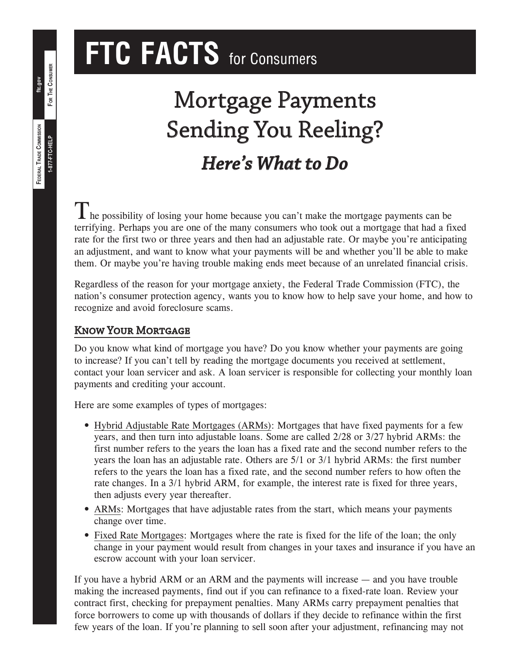# **FTC FACTS** for Consumers

## Mortgage Payments Sending You Reeling? *Here's What to Do*

The possibility of losing your home because you can't make the mortgage payments can be terrifying. Perhaps you are one of the many consumers who took out a mortgage that had a fixed rate for the first two or three years and then had an adjustable rate. Or maybe you're anticipating an adjustment, and want to know what your payments will be and whether you'll be able to make them. Or maybe you're having trouble making ends meet because of an unrelated financial crisis.

Regardless of the reason for your mortgage anxiety, the Federal Trade Commission (FTC), the nation's consumer protection agency, wants you to know how to help save your home, and how to recognize and avoid foreclosure scams.

#### Know Your Mortgage

Do you know what kind of mortgage you have? Do you know whether your payments are going to increase? If you can't tell by reading the mortgage documents you received at settlement, contact your loan servicer and ask. A loan servicer is responsible for collecting your monthly loan payments and crediting your account.

Here are some examples of types of mortgages:

- Hybrid Adjustable Rate Mortgages (ARMs): Mortgages that have fixed payments for a few years, and then turn into adjustable loans. Some are called 2/28 or 3/27 hybrid ARMs: the first number refers to the years the loan has a fixed rate and the second number refers to the years the loan has an adjustable rate. Others are 5/1 or 3/1 hybrid ARMs: the first number refers to the years the loan has a fixed rate, and the second number refers to how often the rate changes. In a 3/1 hybrid ARM, for example, the interest rate is fixed for three years, then adjusts every year thereafter.
- ARMs: Mortgages that have adjustable rates from the start, which means your payments change over time.
- Fixed Rate Mortgages: Mortgages where the rate is fixed for the life of the loan; the only change in your payment would result from changes in your taxes and insurance if you have an escrow account with your loan servicer.

If you have a hybrid ARM or an ARM and the payments will increase — and you have trouble making the increased payments, find out if you can refinance to a fixed-rate loan. Review your contract first, checking for prepayment penalties. Many ARMs carry prepayment penalties that force borrowers to come up with thousands of dollars if they decide to refinance within the first few years of the loan. If you're planning to sell soon after your adjustment, refinancing may not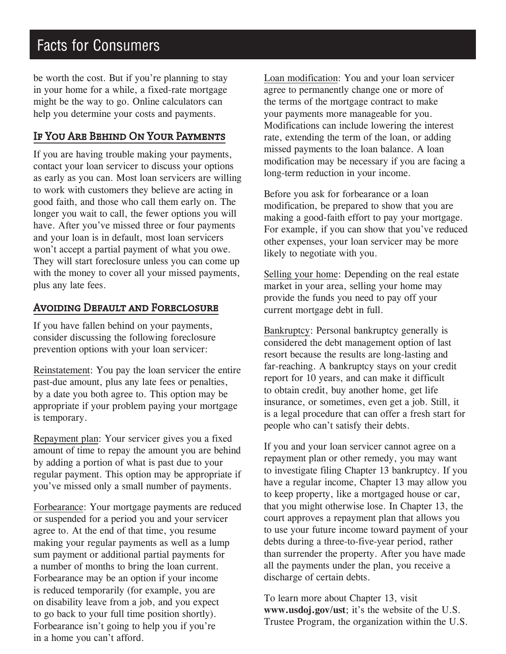### Facts for Consumers

be worth the cost. But if you're planning to stay in your home for a while, a fixed-rate mortgage might be the way to go. Online calculators can help you determine your costs and payments.

#### If You Are Behind On Your Payments

If you are having trouble making your payments, contact your loan servicer to discuss your options as early as you can. Most loan servicers are willing to work with customers they believe are acting in good faith, and those who call them early on. The longer you wait to call, the fewer options you will have. After you've missed three or four payments and your loan is in default, most loan servicers won't accept a partial payment of what you owe. They will start foreclosure unless you can come up with the money to cover all your missed payments, plus any late fees.

#### Avoiding Default and Foreclosure

If you have fallen behind on your payments, consider discussing the following foreclosure prevention options with your loan servicer:

Reinstatement: You pay the loan servicer the entire past-due amount, plus any late fees or penalties, by a date you both agree to. This option may be appropriate if your problem paying your mortgage is temporary.

Repayment plan: Your servicer gives you a fixed amount of time to repay the amount you are behind by adding a portion of what is past due to your regular payment. This option may be appropriate if you've missed only a small number of payments.

Forbearance: Your mortgage payments are reduced or suspended for a period you and your servicer agree to. At the end of that time, you resume making your regular payments as well as a lump sum payment or additional partial payments for a number of months to bring the loan current. Forbearance may be an option if your income is reduced temporarily (for example, you are on disability leave from a job, and you expect to go back to your full time position shortly). Forbearance isn't going to help you if you're in a home you can't afford.

Loan modification: You and your loan servicer agree to permanently change one or more of the terms of the mortgage contract to make your payments more manageable for you. Modifications can include lowering the interest rate, extending the term of the loan, or adding missed payments to the loan balance. A loan modification may be necessary if you are facing a long-term reduction in your income.

Before you ask for forbearance or a loan modification, be prepared to show that you are making a good-faith effort to pay your mortgage. For example, if you can show that you've reduced other expenses, your loan servicer may be more likely to negotiate with you.

Selling your home: Depending on the real estate market in your area, selling your home may provide the funds you need to pay off your current mortgage debt in full.

Bankruptcy: Personal bankruptcy generally is considered the debt management option of last resort because the results are long-lasting and far-reaching. A bankruptcy stays on your credit report for 10 years, and can make it difficult to obtain credit, buy another home, get life insurance, or sometimes, even get a job. Still, it is a legal procedure that can offer a fresh start for people who can't satisfy their debts.

If you and your loan servicer cannot agree on a repayment plan or other remedy, you may want to investigate filing Chapter 13 bankruptcy. If you have a regular income, Chapter 13 may allow you to keep property, like a mortgaged house or car, that you might otherwise lose. In Chapter 13, the court approves a repayment plan that allows you to use your future income toward payment of your debts during a three-to-five-year period, rather than surrender the property. After you have made all the payments under the plan, you receive a discharge of certain debts.

To learn more about Chapter 13, visit **www.usdoj.gov/ust**; it's the website of the U.S. Trustee Program, the organization within the U.S.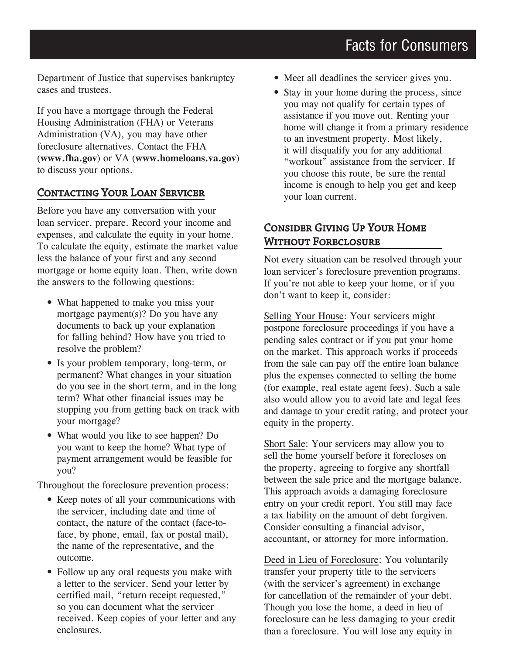Department of Justice that supervises bankruptcy cases and trustees.

If you have a mortgage through the Federal Housing Administration (FHA) or Veterans Administration (VA), you may have other foreclosure alternatives. Contact the FHA (**www.fha.gov**) or VA (**www.homeloans.va.gov**) to discuss your options.

#### Contacting Your Loan Servicer

Before you have any conversation with your loan servicer, prepare. Record your income and expenses, and calculate the equity in your home. To calculate the equity, estimate the market value less the balance of your first and any second mortgage or home equity loan. Then, write down the answers to the following questions:

- What happened to make you miss your mortgage payment(s)? Do you have any documents to back up your explanation for falling behind? How have you tried to resolve the problem?
- Is your problem temporary, long-term, or permanent? What changes in your situation do you see in the short term, and in the long term? What other financial issues may be stopping you from getting back on track with your mortgage?
- What would you like to see happen? Do you want to keep the home? What type of payment arrangement would be feasible for you?

Throughout the foreclosure prevention process:

- Keep notes of all your communications with the servicer, including date and time of contact, the nature of the contact (face-toface, by phone, email, fax or postal mail), the name of the representative, and the outcome.
- Follow up any oral requests you make with a letter to the servicer. Send your letter by certified mail, "return receipt requested," so you can document what the servicer received. Keep copies of your letter and any enclosures.
- Meet all deadlines the servicer gives you.
- Stay in your home during the process, since you may not qualify for certain types of assistance if you move out. Renting your home will change it from a primary residence to an investment property. Most likely, it will disqualify you for any additional "workout" assistance from the servicer. If you choose this route, be sure the rental income is enough to help you get and keep your loan current.

#### Consider Giving Up Your Home Without Foreclosure

Not every situation can be resolved through your loan servicer's foreclosure prevention programs. If you're not able to keep your home, or if you don't want to keep it, consider:

Selling Your House: Your servicers might postpone foreclosure proceedings if you have a pending sales contract or if you put your home on the market. This approach works if proceeds from the sale can pay off the entire loan balance plus the expenses connected to selling the home (for example, real estate agent fees). Such a sale also would allow you to avoid late and legal fees and damage to your credit rating, and protect your equity in the property.

Short Sale: Your servicers may allow you to sell the home yourself before it forecloses on the property, agreeing to forgive any shortfall between the sale price and the mortgage balance. This approach avoids a damaging foreclosure entry on your credit report. You still may face a tax liability on the amount of debt forgiven. Consider consulting a financial advisor, accountant, or attorney for more information.

Deed in Lieu of Foreclosure: You voluntarily transfer your property title to the servicers (with the servicer's agreement) in exchange for cancellation of the remainder of your debt. Though you lose the home, a deed in lieu of foreclosure can be less damaging to your credit than a foreclosure. You will lose any equity in